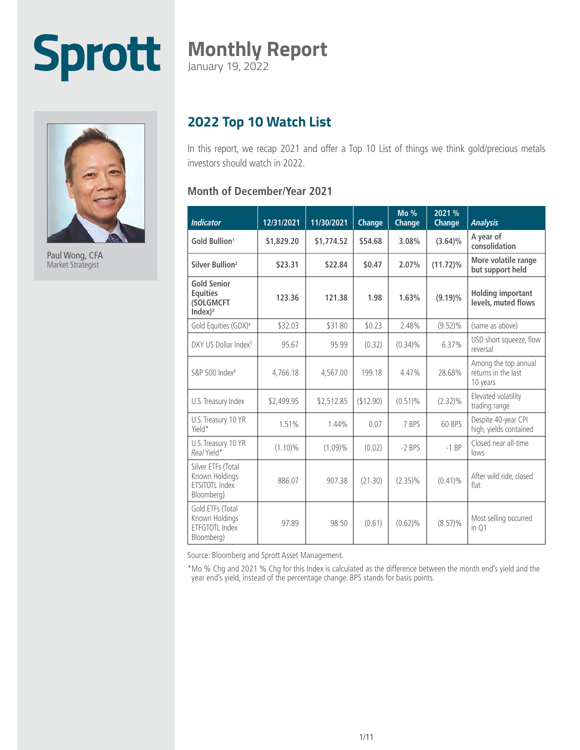# **Sprott**

### **Monthly Report**

January 19, 2022



Paul Wong, CFA Market Strategist

#### **2022 Top 10 Watch List**

In this report, we recap 2021 and offer a Top 10 List of things we think gold/precious metals investors should watch in 2022.

#### **Month of December/Year 2021**

| <b>Indicator</b>                                                     | 12/31/2021 | 11/30/2021 | Change    | $Mo\%$<br>Change | 2021 %<br>Change | <b>Analysis</b>                                         |
|----------------------------------------------------------------------|------------|------------|-----------|------------------|------------------|---------------------------------------------------------|
| Gold Bullion <sup>1</sup>                                            | \$1.829.20 | \$1,774.52 | \$54.68   | 3.08%            | $(3.64)\%$       | A year of<br>consolidation                              |
| Silver Bullion <sup>2</sup>                                          | \$23.31    | \$22.84    | \$0.47    | 2.07%            | $(11.72)\%$      | More volatile range<br>but support held                 |
| <b>Gold Senior</b><br><b>Equities</b><br>(SOLGMCFT<br>Index $)^3$    | 123.36     | 121.38     | 1.98      | 1.63%            | $(9.19)\%$       | <b>Holding important</b><br>levels, muted flows         |
| Gold Equities (GDX) <sup>4</sup>                                     | \$32.03    | \$31.80    | \$0.23    | 2.48%            | $(9.52)\%$       | (same as above)                                         |
| DXY US Dollar Index <sup>5</sup>                                     | 95.67      | 95.99      | (0.32)    | $(0.34)\%$       | 6.37%            | USD short squeeze, flow<br>reversal                     |
| S&P 500 Index <sup>6</sup>                                           | 4.766.18   | 4,567.00   | 199.18    | 4.47%            | 28.68%           | Among the top annual<br>returns in the last<br>10 years |
| U.S. Treasury Index                                                  | \$2,499.95 | \$2,512.85 | (\$12.90) | $(0.51)\%$       | $(2.32)\%$       | Elevated volatility<br>trading range                    |
| U.S. Treasury 10 YR<br>Yield*                                        | 1.51%      | 1.44%      | 0.07      | 7 BPS            | 60 BPS           | Despite 40-year CPI<br>high, yields contained           |
| U.S. Treasury 10 YR<br>Real Yield*                                   | $(1.10)\%$ | $(1.09)\%$ | (0.02)    | $-2$ BPS         | $-1$ BP          | Closed near all-time<br>lows                            |
| Silver ETFs (Total<br>Known Holdings<br>ETSITOTL Index<br>Bloomberg) | 886.07     | 907.38     | (21.30)   | $(2.35)\%$       | $(0.41)\%$       | After wild ride, closed<br>flat                         |
| Gold ETFs (Total<br>Known Holdings<br>FTFGTOTI Index<br>Bloomberg)   | 97.89      | 98.50      | (0.61)    | $(0.62)\%$       | $(8.57)\%$       | Most selling occurred<br>in Q1                          |

Source: Bloomberg and Sprott Asset Management.

\*Mo % Chg and 2021 % Chg for this Index is calculated as the difference between the month end's yield and the year end's yield, instead of the percentage change. BPS stands for basis points.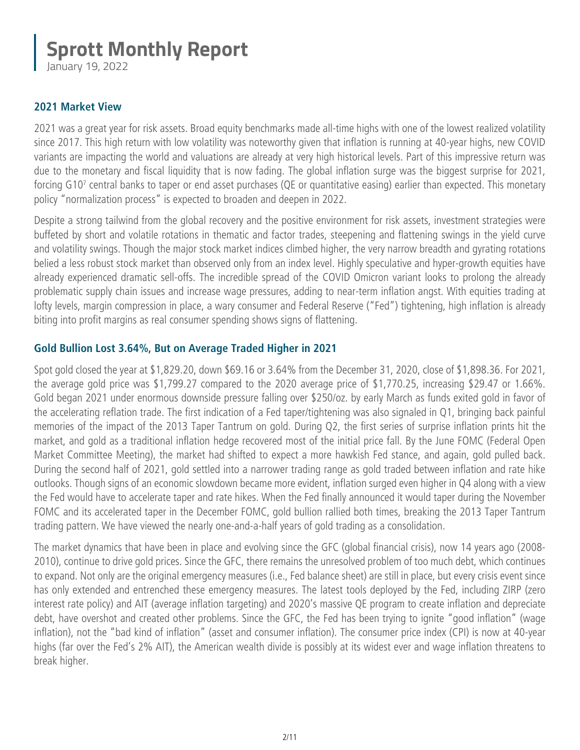January 19, 2022

#### **2021 Market View**

2021 was a great year for risk assets. Broad equity benchmarks made all-time highs with one of the lowest realized volatility since 2017. This high return with low volatility was noteworthy given that inflation is running at 40-year highs, new COVID variants are impacting the world and valuations are already at very high historical levels. Part of this impressive return was due to the monetary and fiscal liquidity that is now fading. The global inflation surge was the biggest surprise for 2021, forcing G10<sup>7</sup> central banks to taper or end asset purchases (QE or quantitative easing) earlier than expected. This monetary policy "normalization process" is expected to broaden and deepen in 2022.

Despite a strong tailwind from the global recovery and the positive environment for risk assets, investment strategies were buffeted by short and volatile rotations in thematic and factor trades, steepening and flattening swings in the yield curve and volatility swings. Though the major stock market indices climbed higher, the very narrow breadth and gyrating rotations belied a less robust stock market than observed only from an index level. Highly speculative and hyper-growth equities have already experienced dramatic sell-offs. The incredible spread of the COVID Omicron variant looks to prolong the already problematic supply chain issues and increase wage pressures, adding to near-term inflation angst. With equities trading at lofty levels, margin compression in place, a wary consumer and Federal Reserve ("Fed") tightening, high inflation is already biting into profit margins as real consumer spending shows signs of flattening.

#### **Gold Bullion Lost 3.64%, But on Average Traded Higher in 2021**

Spot gold closed the year at \$1,829.20, down \$69.16 or 3.64% from the December 31, 2020, close of \$1,898.36. For 2021, the average gold price was \$1,799.27 compared to the 2020 average price of \$1,770.25, increasing \$29.47 or 1.66%. Gold began 2021 under enormous downside pressure falling over \$250/oz. by early March as funds exited gold in favor of the accelerating reflation trade. The first indication of a Fed taper/tightening was also signaled in Q1, bringing back painful memories of the impact of the 2013 Taper Tantrum on gold. During Q2, the first series of surprise inflation prints hit the market, and gold as a traditional inflation hedge recovered most of the initial price fall. By the June FOMC (Federal Open Market Committee Meeting), the market had shifted to expect a more hawkish Fed stance, and again, gold pulled back. During the second half of 2021, gold settled into a narrower trading range as gold traded between inflation and rate hike outlooks. Though signs of an economic slowdown became more evident, inflation surged even higher in Q4 along with a view the Fed would have to accelerate taper and rate hikes. When the Fed finally announced it would taper during the November FOMC and its accelerated taper in the December FOMC, gold bullion rallied both times, breaking the 2013 Taper Tantrum trading pattern. We have viewed the nearly one-and-a-half years of gold trading as a consolidation.

The market dynamics that have been in place and evolving since the GFC (global financial crisis), now 14 years ago (2008- 2010), continue to drive gold prices. Since the GFC, there remains the unresolved problem of too much debt, which continues to expand. Not only are the original emergency measures (i.e., Fed balance sheet) are still in place, but every crisis event since has only extended and entrenched these emergency measures. The latest tools deployed by the Fed, including ZIRP (zero interest rate policy) and AIT (average inflation targeting) and 2020's massive QE program to create inflation and depreciate debt, have overshot and created other problems. Since the GFC, the Fed has been trying to ignite "good inflation" (wage inflation), not the "bad kind of inflation" (asset and consumer inflation). The consumer price index (CPI) is now at 40-year highs (far over the Fed's 2% AIT), the American wealth divide is possibly at its widest ever and wage inflation threatens to break higher.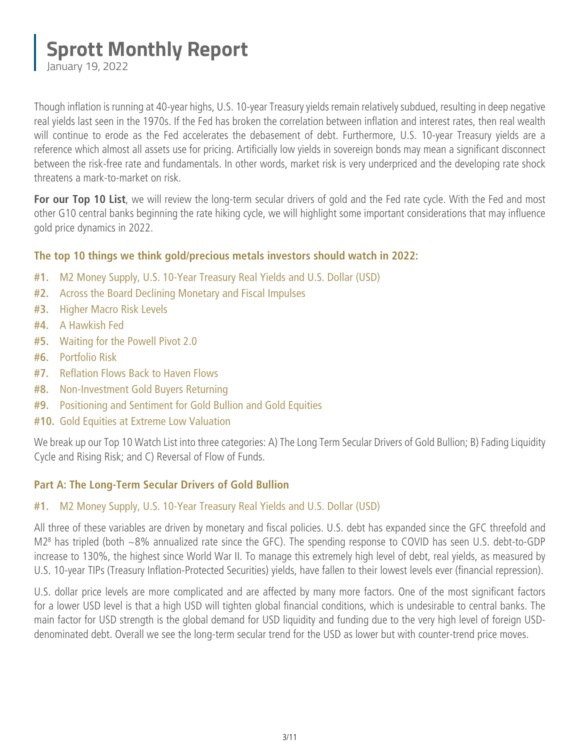January 19, 2022

Though inflation is running at 40-year highs, U.S. 10-year Treasury yields remain relatively subdued, resulting in deep negative real yields last seen in the 1970s. If the Fed has broken the correlation between inflation and interest rates, then real wealth will continue to erode as the Fed accelerates the debasement of debt. Furthermore, U.S. 10-year Treasury yields are a reference which almost all assets use for pricing. Artificially low yields in sovereign bonds may mean a significant disconnect between the risk-free rate and fundamentals. In other words, market risk is very underpriced and the developing rate shock threatens a mark-to-market on risk.

For our Top 10 List, we will review the long-term secular drivers of gold and the Fed rate cycle. With the Fed and most other G10 central banks beginning the rate hiking cycle, we will highlight some important considerations that may influence gold price dynamics in 2022.

#### **The top 10 things we think gold/precious metals investors should watch in 2022:**

- **#1.** M2 Money Supply, U.S. 10-Year Treasury Real Yields and U.S. Dollar (USD)
- **#2.** [Across the Board Declining Monetary and Fiscal Impulses](#page-3-0)
- **#3.** [Higher Macro Risk Levels](#page-4-0)
- **#4.** [A Hawkish Fed](#page-4-0)
- **#5.** [Waiting for the Powell Pivot 2.0](#page-5-0)
- **#6.** [Portfolio Risk](#page-5-0)
- **#7.** [Reflation Flows Back to Haven Flows](#page-6-0)
- **#8.** [Non-Investment Gold Buyers Returning](#page-7-0)
- **#9.** [Positioning and Sentiment for Gold Bullion and Gold Equities](#page-8-0)
- **#10.** [Gold Equities at Extreme Low Valuation](#page-9-0)

We break up our Top 10 Watch List into three categories: A) The Long Term Secular Drivers of Gold Bullion; B) Fading Liquidity Cycle and Rising Risk; and C) Reversal of Flow of Funds.

#### **Part A: The Long-Term Secular Drivers of Gold Bullion**

#### **#1.** M2 Money Supply, U.S. 10-Year Treasury Real Yields and U.S. Dollar (USD)

All three of these variables are driven by monetary and fiscal policies. U.S. debt has expanded since the GFC threefold and M28 has tripled (both ~8% annualized rate since the GFC). The spending response to COVID has seen U.S. debt-to-GDP increase to 130%, the highest since World War II. To manage this extremely high level of debt, real yields, as measured by U.S. 10-year TIPs (Treasury Inflation-Protected Securities) yields, have fallen to their lowest levels ever (financial repression).

U.S. dollar price levels are more complicated and are affected by many more factors. One of the most significant factors for a lower USD level is that a high USD will tighten global financial conditions, which is undesirable to central banks. The main factor for USD strength is the global demand for USD liquidity and funding due to the very high level of foreign USDdenominated debt. Overall we see the long-term secular trend for the USD as lower but with counter-trend price moves.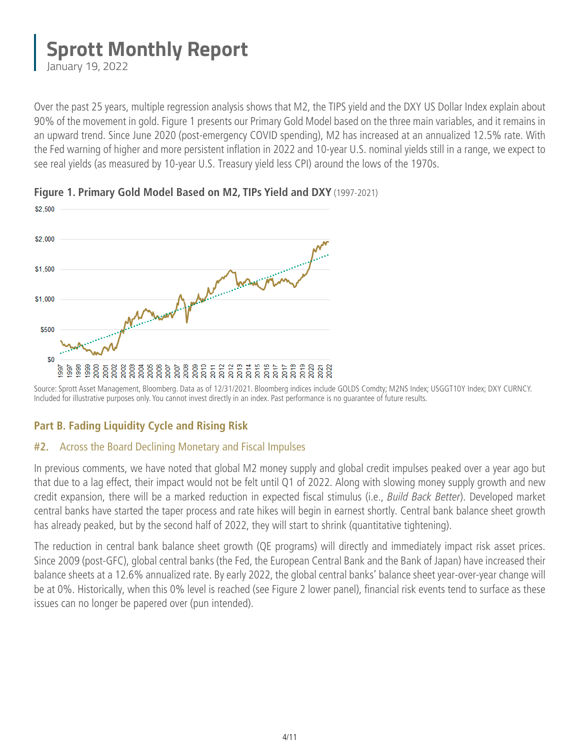<span id="page-3-0"></span>January 19, 2022

Over the past 25 years, multiple regression analysis shows that M2, the TIPS yield and the DXY US Dollar Index explain about 90% of the movement in gold. Figure 1 presents our Primary Gold Model based on the three main variables, and it remains in an upward trend. Since June 2020 (post-emergency COVID spending), M2 has increased at an annualized 12.5% rate. With the Fed warning of higher and more persistent inflation in 2022 and 10-year U.S. nominal yields still in a range, we expect to see real yields (as measured by 10-year U.S. Treasury yield less CPI) around the lows of the 1970s.



#### **Figure 1. Primary Gold Model Based on M2, TIPs Yield and DXY** (1997-2021)

Source: Sprott Asset Management, Bloomberg. Data as of 12/31/2021. Bloomberg indices include GOLDS Comdty; M2NS Index; USGGT10Y Index; DXY CURNCY. Included for illustrative purposes only. You cannot invest directly in an index. Past performance is no guarantee of future results.

#### **Part B. Fading Liquidity Cycle and Rising Risk**

#### **#2.** Across the Board Declining Monetary and Fiscal Impulses

In previous comments, we have noted that global M2 money supply and global credit impulses peaked over a year ago but that due to a lag effect, their impact would not be felt until Q1 of 2022. Along with slowing money supply growth and new credit expansion, there will be a marked reduction in expected fiscal stimulus (i.e., *Build Back Better*). Developed market central banks have started the taper process and rate hikes will begin in earnest shortly. Central bank balance sheet growth has already peaked, but by the second half of 2022, they will start to shrink (quantitative tightening).

The reduction in central bank balance sheet growth (QE programs) will directly and immediately impact risk asset prices. Since 2009 (post-GFC), global central banks (the Fed, the European Central Bank and the Bank of Japan) have increased their balance sheets at a 12.6% annualized rate. By early 2022, the global central banks' balance sheet year-over-year change will be at 0%. Historically, when this 0% level is reached (see Figure 2 lower panel), financial risk events tend to surface as these issues can no longer be papered over (pun intended).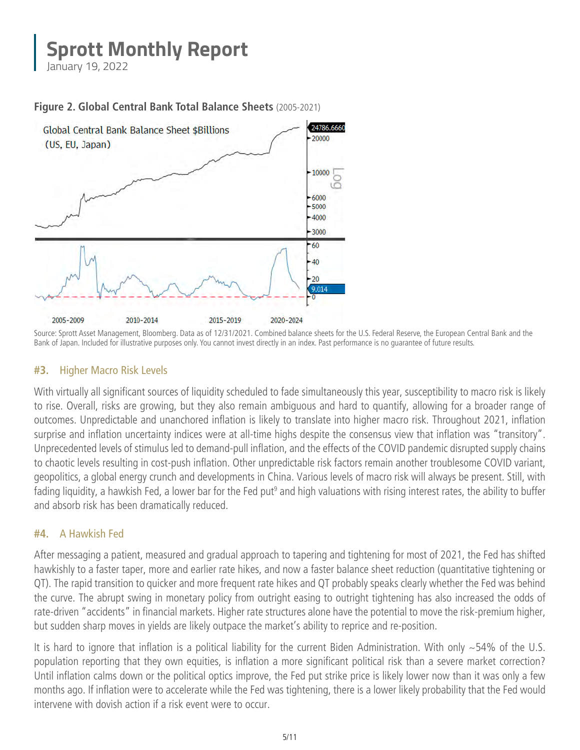<span id="page-4-0"></span>January 19, 2022



**Figure 2. Global Central Bank Total Balance Sheets** (2005-2021)

#### **#3.** Higher Macro Risk Levels

With virtually all significant sources of liquidity scheduled to fade simultaneously this year, susceptibility to macro risk is likely to rise. Overall, risks are growing, but they also remain ambiguous and hard to quantify, allowing for a broader range of outcomes. Unpredictable and unanchored inflation is likely to translate into higher macro risk. Throughout 2021, inflation surprise and inflation uncertainty indices were at all-time highs despite the consensus view that inflation was "transitory". Unprecedented levels of stimulus led to demand-pull inflation, and the effects of the COVID pandemic disrupted supply chains to chaotic levels resulting in cost-push inflation. Other unpredictable risk factors remain another troublesome COVID variant, geopolitics, a global energy crunch and developments in China. Various levels of macro risk will always be present. Still, with fading liquidity, a hawkish Fed, a lower bar for the Fed put<sup>9</sup> and high valuations with rising interest rates, the ability to buffer and absorb risk has been dramatically reduced.

#### **#4.** A Hawkish Fed

After messaging a patient, measured and gradual approach to tapering and tightening for most of 2021, the Fed has shifted hawkishly to a faster taper, more and earlier rate hikes, and now a faster balance sheet reduction (quantitative tightening or QT). The rapid transition to quicker and more frequent rate hikes and QT probably speaks clearly whether the Fed was behind the curve. The abrupt swing in monetary policy from outright easing to outright tightening has also increased the odds of rate-driven "accidents" in financial markets. Higher rate structures alone have the potential to move the risk-premium higher, but sudden sharp moves in yields are likely outpace the market's ability to reprice and re-position.

It is hard to ignore that inflation is a political liability for the current Biden Administration. With only ~54% of the U.S. population reporting that they own equities, is inflation a more significant political risk than a severe market correction? Until inflation calms down or the political optics improve, the Fed put strike price is likely lower now than it was only a few months ago. If inflation were to accelerate while the Fed was tightening, there is a lower likely probability that the Fed would intervene with dovish action if a risk event were to occur.

Source: Sprott Asset Management, Bloomberg. Data as of 12/31/2021. Combined balance sheets for the U.S. Federal Reserve, the European Central Bank and the Bank of Japan. Included for illustrative purposes only. You cannot invest directly in an index. Past performance is no guarantee of future results.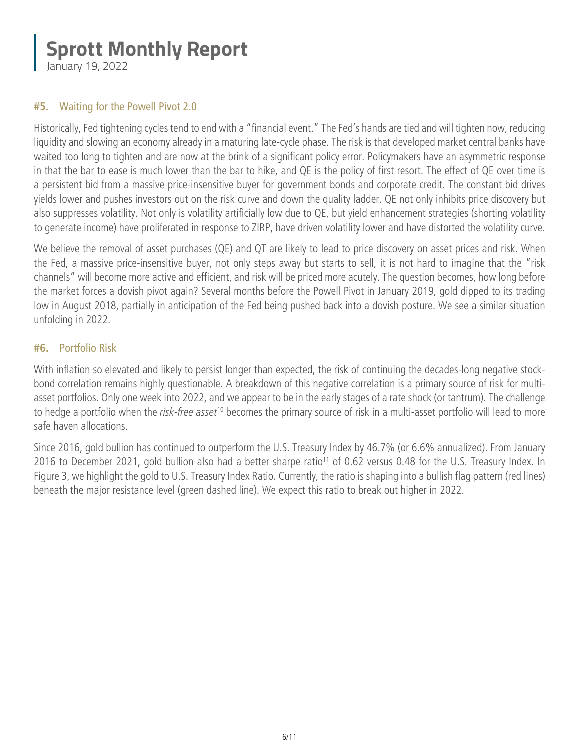<span id="page-5-0"></span>January 19, 2022

#### **#5.** Waiting for the Powell Pivot 2.0

Historically, Fed tightening cycles tend to end with a "financial event." The Fed's hands are tied and will tighten now, reducing liquidity and slowing an economy already in a maturing late-cycle phase. The risk is that developed market central banks have waited too long to tighten and are now at the brink of a significant policy error. Policymakers have an asymmetric response in that the bar to ease is much lower than the bar to hike, and QE is the policy of first resort. The effect of QE over time is a persistent bid from a massive price-insensitive buyer for government bonds and corporate credit. The constant bid drives yields lower and pushes investors out on the risk curve and down the quality ladder. QE not only inhibits price discovery but also suppresses volatility. Not only is volatility artificially low due to QE, but yield enhancement strategies (shorting volatility to generate income) have proliferated in response to ZIRP, have driven volatility lower and have distorted the volatility curve.

We believe the removal of asset purchases (QE) and QT are likely to lead to price discovery on asset prices and risk. When the Fed, a massive price-insensitive buyer, not only steps away but starts to sell, it is not hard to imagine that the "risk channels" will become more active and efficient, and risk will be priced more acutely. The question becomes, how long before the market forces a dovish pivot again? Several months before the Powell Pivot in January 2019, gold dipped to its trading low in August 2018, partially in anticipation of the Fed being pushed back into a dovish posture. We see a similar situation unfolding in 2022.

#### **#6.** Portfolio Risk

With inflation so elevated and likely to persist longer than expected, the risk of continuing the decades-long negative stockbond correlation remains highly questionable. A breakdown of this negative correlation is a primary source of risk for multiasset portfolios. Only one week into 2022, and we appear to be in the early stages of a rate shock (or tantrum). The challenge to hedge a portfolio when the *risk-free asset*<sup>10</sup> becomes the primary source of risk in a multi-asset portfolio will lead to more safe haven allocations.

Since 2016, gold bullion has continued to outperform the U.S. Treasury Index by 46.7% (or 6.6% annualized). From January 2016 to December 2021, gold bullion also had a better sharpe ratio<sup>11</sup> of 0.62 versus 0.48 for the U.S. Treasury Index. In Figure 3, we highlight the gold to U.S. Treasury Index Ratio. Currently, the ratio is shaping into a bullish flag pattern (red lines) beneath the major resistance level (green dashed line). We expect this ratio to break out higher in 2022.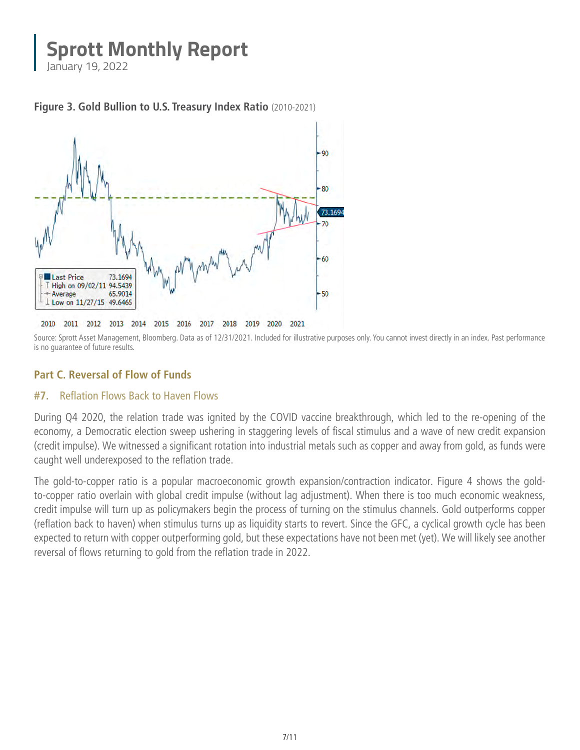<span id="page-6-0"></span>January 19, 2022





Source: Sprott Asset Management, Bloomberg. Data as of 12/31/2021. Included for illustrative purposes only. You cannot invest directly in an index. Past performance is no guarantee of future results.

#### **Part C. Reversal of Flow of Funds**

#### **#7.** Reflation Flows Back to Haven Flows

During Q4 2020, the relation trade was ignited by the COVID vaccine breakthrough, which led to the re-opening of the economy, a Democratic election sweep ushering in staggering levels of fiscal stimulus and a wave of new credit expansion (credit impulse). We witnessed a significant rotation into industrial metals such as copper and away from gold, as funds were caught well underexposed to the reflation trade.

The gold-to-copper ratio is a popular macroeconomic growth expansion/contraction indicator. Figure 4 shows the goldto-copper ratio overlain with global credit impulse (without lag adjustment). When there is too much economic weakness, credit impulse will turn up as policymakers begin the process of turning on the stimulus channels. Gold outperforms copper (reflation back to haven) when stimulus turns up as liquidity starts to revert. Since the GFC, a cyclical growth cycle has been expected to return with copper outperforming gold, but these expectations have not been met (yet). We will likely see another reversal of flows returning to gold from the reflation trade in 2022.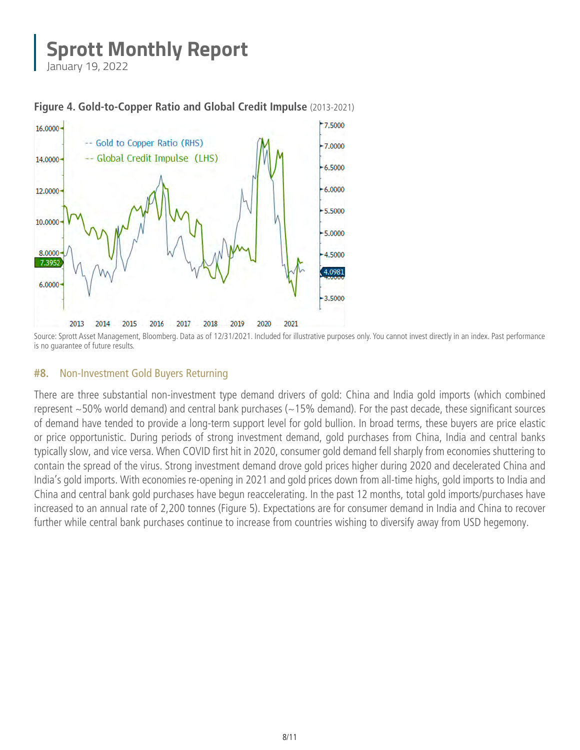<span id="page-7-0"></span>January 19, 2022



**Figure 4. Gold-to-Copper Ratio and Global Credit Impulse** (2013-2021)

Source: Sprott Asset Management, Bloomberg. Data as of 12/31/2021. Included for illustrative purposes only. You cannot invest directly in an index. Past performance is no guarantee of future results.

#### **#8.** Non-Investment Gold Buyers Returning

There are three substantial non-investment type demand drivers of gold: China and India gold imports (which combined represent  $\sim$ 50% world demand) and central bank purchases ( $\sim$ 15% demand). For the past decade, these significant sources of demand have tended to provide a long-term support level for gold bullion. In broad terms, these buyers are price elastic or price opportunistic. During periods of strong investment demand, gold purchases from China, India and central banks typically slow, and vice versa. When COVID first hit in 2020, consumer gold demand fell sharply from economies shuttering to contain the spread of the virus. Strong investment demand drove gold prices higher during 2020 and decelerated China and India's gold imports. With economies re-opening in 2021 and gold prices down from all-time highs, gold imports to India and China and central bank gold purchases have begun reaccelerating. In the past 12 months, total gold imports/purchases have increased to an annual rate of 2,200 tonnes (Figure 5). Expectations are for consumer demand in India and China to recover further while central bank purchases continue to increase from countries wishing to diversify away from USD hegemony.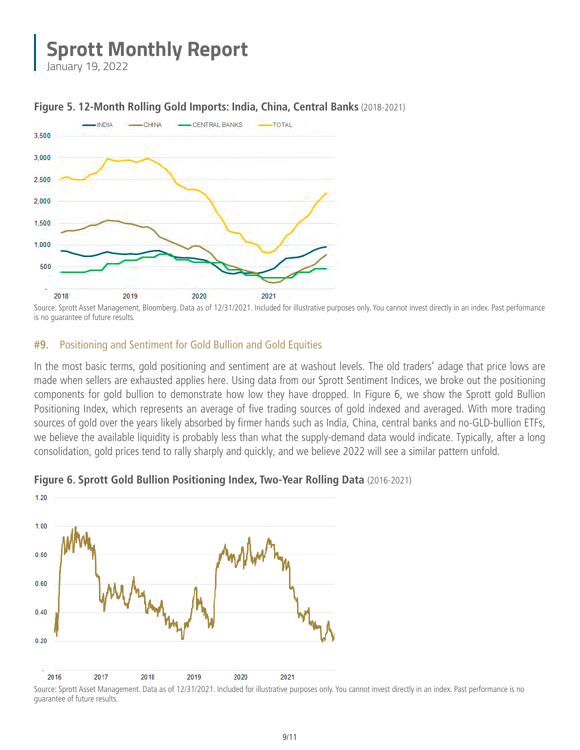<span id="page-8-0"></span>January 19, 2022



#### **Figure 5. 12-Month Rolling Gold Imports: India, China, Central Banks** (2018-2021)

#### **#9.** Positioning and Sentiment for Gold Bullion and Gold Equities

In the most basic terms, gold positioning and sentiment are at washout levels. The old traders' adage that price lows are made when sellers are exhausted applies here. Using data from our Sprott Sentiment Indices, we broke out the positioning components for gold bullion to demonstrate how low they have dropped. In Figure 6, we show the Sprott gold Bullion Positioning Index, which represents an average of five trading sources of gold indexed and averaged. With more trading sources of gold over the years likely absorbed by firmer hands such as India, China, central banks and no-GLD-bullion ETFs, we believe the available liquidity is probably less than what the supply-demand data would indicate. Typically, after a long consolidation, gold prices tend to rally sharply and quickly, and we believe 2022 will see a similar pattern unfold.



#### **Figure 6. Sprott Gold Bullion Positioning Index, Two-Year Rolling Data** (2016-2021)

Source: Sprott Asset Management, Bloomberg. Data as of 12/31/2021. Included for illustrative purposes only. You cannot invest directly in an index. Past performance is no guarantee of future results.

Source: Sprott Asset Management. Data as of 12/31/2021. Included for illustrative purposes only. You cannot invest directly in an index. Past performance is no guarantee of future results.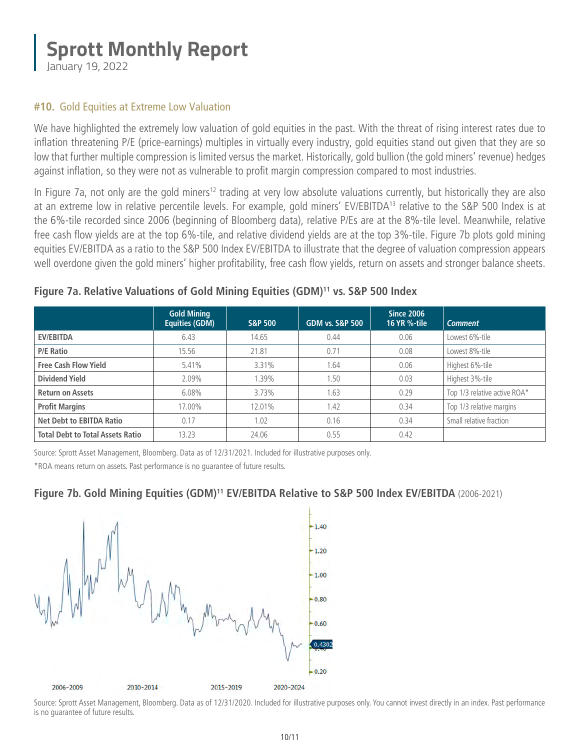<span id="page-9-0"></span>January 19, 2022

#### **#10.** Gold Equities at Extreme Low Valuation

We have highlighted the extremely low valuation of gold equities in the past. With the threat of rising interest rates due to inflation threatening P/E (price-earnings) multiples in virtually every industry, gold equities stand out given that they are so low that further multiple compression is limited versus the market. Historically, gold bullion (the gold miners' revenue) hedges against inflation, so they were not as vulnerable to profit margin compression compared to most industries.

In Figure 7a, not only are the gold miners<sup>12</sup> trading at very low absolute valuations currently, but historically they are also at an extreme low in relative percentile levels. For example, gold miners' EV/EBITDA13 relative to the S&P 500 Index is at the 6%-tile recorded since 2006 (beginning of Bloomberg data), relative P/Es are at the 8%-tile level. Meanwhile, relative free cash flow yields are at the top 6%-tile, and relative dividend yields are at the top 3%-tile. Figure 7b plots gold mining equities EV/EBITDA as a ratio to the S&P 500 Index EV/EBITDA to illustrate that the degree of valuation compression appears well overdone given the gold miners' higher profitability, free cash flow yields, return on assets and stronger balance sheets.

|                                         | <b>Gold Mining</b><br><b>Equities (GDM)</b> | <b>S&amp;P 500</b> | <b>GDM vs. S&amp;P 500</b> | Since 2006<br><b>16 YR %-tile</b> | <b>Comment</b>               |
|-----------------------------------------|---------------------------------------------|--------------------|----------------------------|-----------------------------------|------------------------------|
| <b>EV/EBITDA</b>                        | 6.43                                        | 14.65              | 0.44                       | 0.06                              | Lowest 6%-tile               |
| <b>P/E Ratio</b>                        | 15.56                                       | 21.81              | 0.71                       | 0.08                              | Lowest 8%-tile               |
| <b>Free Cash Flow Yield</b>             | 5.41%                                       | 3.31%              | 1.64                       | 0.06                              | Highest 6%-tile              |
| <b>Dividend Yield</b>                   | $2.09\%$                                    | $1.39\%$           | 1.50                       | 0.03                              | Highest 3%-tile              |
| <b>Return on Assets</b>                 | $6.08\%$                                    | 3.73%              | .63                        | 0.29                              | Top 1/3 relative active ROA* |
| <b>Profit Margins</b>                   | 17.00%                                      | 12.01%             | 1.42                       | 0.34                              | Top 1/3 relative margins     |
| <b>Net Debt to EBITDA Ratio</b>         | 0.17                                        | 1.02               | 0.16                       | 0.34                              | Small relative fraction      |
| <b>Total Debt to Total Assets Ratio</b> | 13.23                                       | 24.06              | 0.55                       | 0.42                              |                              |

#### **Figure 7a. Relative Valuations of Gold Mining Equities (GDM)11 vs. S&P 500 Index**

Source: Sprott Asset Management, Bloomberg. Data as of 12/31/2021. Included for illustrative purposes only. \*ROA means return on assets. Past performance is no guarantee of future results.

#### **Figure 7b. Gold Mining Equities (GDM)<sup>11</sup> EV/EBITDA Relative to S&P 500 Index EV/EBITDA (2006-2021)**



Source: Sprott Asset Management, Bloomberg. Data as of 12/31/2020. Included for illustrative purposes only. You cannot invest directly in an index. Past performance is no guarantee of future results.